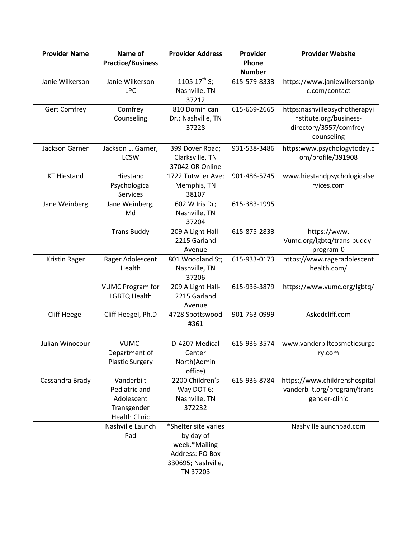| <b>Provider Name</b> | Name of                  | <b>Provider Address</b> | Provider      | <b>Provider Website</b>       |
|----------------------|--------------------------|-------------------------|---------------|-------------------------------|
|                      | <b>Practice/Business</b> |                         | Phone         |                               |
|                      |                          |                         | <b>Number</b> |                               |
| Janie Wilkerson      | Janie Wilkerson          | 1105 $17^{th}$ S;       | 615-579-8333  | https://www.janiewilkersonlp  |
|                      | <b>LPC</b>               | Nashville, TN           |               | c.com/contact                 |
|                      |                          | 37212                   |               |                               |
| <b>Gert Comfrey</b>  | Comfrey                  | 810 Dominican           | 615-669-2665  | https:nashvillepsychotherapyi |
|                      | Counseling               | Dr.; Nashville, TN      |               | nstitute.org/business-        |
|                      |                          | 37228                   |               | directory/3557/comfrey-       |
|                      |                          |                         |               | counseling                    |
| Jackson Garner       | Jackson L. Garner,       | 399 Dover Road;         | 931-538-3486  | https:www.psychologytoday.c   |
|                      | <b>LCSW</b>              | Clarksville, TN         |               | om/profile/391908             |
|                      |                          | 37042 OR Online         |               |                               |
| <b>KT Hiestand</b>   | Hiestand                 | 1722 Tutwiler Ave;      | 901-486-5745  | www.hiestandpsychologicalse   |
|                      | Psychological            | Memphis, TN             |               | rvices.com                    |
|                      | Services                 | 38107                   |               |                               |
| Jane Weinberg        | Jane Weinberg,           | 602 W Iris Dr;          | 615-383-1995  |                               |
|                      | Md                       | Nashville, TN           |               |                               |
|                      |                          | 37204                   |               |                               |
|                      | <b>Trans Buddy</b>       | 209 A Light Hall-       | 615-875-2833  | https://www.                  |
|                      |                          | 2215 Garland            |               | Vumc.org/lgbtq/trans-buddy-   |
|                      |                          | Avenue                  |               | program-0                     |
| Kristin Rager        | Rager Adolescent         | 801 Woodland St;        | 615-933-0173  | https://www.rageradolescent   |
|                      | Health                   | Nashville, TN           |               | health.com/                   |
|                      |                          | 37206                   |               |                               |
|                      | <b>VUMC Program for</b>  | 209 A Light Hall-       | 615-936-3879  | https://www.vumc.org/lgbtq/   |
|                      | LGBTQ Health             | 2215 Garland            |               |                               |
|                      |                          | Avenue                  |               |                               |
| <b>Cliff Heegel</b>  | Cliff Heegel, Ph.D       | 4728 Spottswood         | 901-763-0999  | Askedcliff.com                |
|                      |                          | #361                    |               |                               |
|                      |                          |                         |               |                               |
| Julian Winocour      | VUMC-                    | D-4207 Medical          | 615-936-3574  | www.vanderbiltcosmeticsurge   |
|                      | Department of            | Center                  |               | ry.com                        |
|                      | <b>Plastic Surgery</b>   | North(Admin             |               |                               |
|                      |                          | office)                 |               |                               |
| Cassandra Brady      | Vanderbilt               | 2200 Children's         | 615-936-8784  | https://www.childrenshospital |
|                      | Pediatric and            | Way DOT 6;              |               | vanderbilt.org/program/trans  |
|                      | Adolescent               | Nashville, TN           |               | gender-clinic                 |
|                      | Transgender              | 372232                  |               |                               |
|                      | <b>Health Clinic</b>     |                         |               |                               |
|                      | Nashville Launch         | *Shelter site varies    |               | Nashvillelaunchpad.com        |
|                      | Pad                      | by day of               |               |                               |
|                      |                          | week.*Mailing           |               |                               |
|                      |                          | Address: PO Box         |               |                               |
|                      |                          | 330695; Nashville,      |               |                               |
|                      |                          | TN 37203                |               |                               |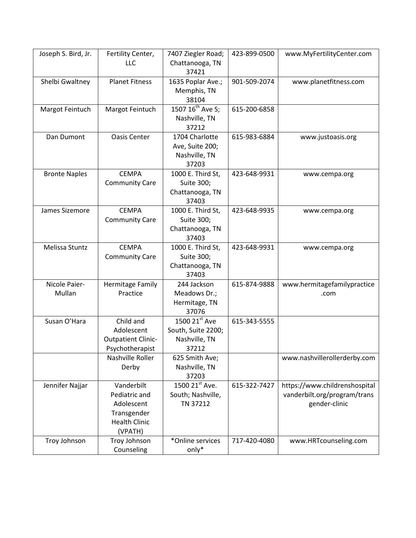| Joseph S. Bird, Jr.     | Fertility Center,<br><b>LLC</b>                                                             | 7407 Ziegler Road;<br>Chattanooga, TN<br>37421                | 423-899-0500 | www.MyFertilityCenter.com                                                      |
|-------------------------|---------------------------------------------------------------------------------------------|---------------------------------------------------------------|--------------|--------------------------------------------------------------------------------|
| Shelbi Gwaltney         | <b>Planet Fitness</b>                                                                       | 1635 Poplar Ave.;<br>Memphis, TN<br>38104                     | 901-509-2074 | www.planetfitness.com                                                          |
| Margot Feintuch         | Margot Feintuch                                                                             | 1507 16 <sup>th</sup> Ave S;<br>Nashville, TN<br>37212        | 615-200-6858 |                                                                                |
| Dan Dumont              | <b>Oasis Center</b>                                                                         | 1704 Charlotte<br>Ave, Suite 200;<br>Nashville, TN<br>37203   | 615-983-6884 | www.justoasis.org                                                              |
| <b>Bronte Naples</b>    | <b>CEMPA</b><br><b>Community Care</b>                                                       | 1000 E. Third St,<br>Suite 300;<br>Chattanooga, TN<br>37403   | 423-648-9931 | www.cempa.org                                                                  |
| James Sizemore          | <b>CEMPA</b><br><b>Community Care</b>                                                       | 1000 E. Third St,<br>Suite 300;<br>Chattanooga, TN<br>37403   | 423-648-9935 | www.cempa.org                                                                  |
| Melissa Stuntz          | <b>CEMPA</b><br><b>Community Care</b>                                                       | 1000 E. Third St,<br>Suite 300;<br>Chattanooga, TN<br>37403   | 423-648-9931 | www.cempa.org                                                                  |
| Nicole Paier-<br>Mullan | Hermitage Family<br>Practice                                                                | 244 Jackson<br>Meadows Dr.;<br>Hermitage, TN<br>37076         | 615-874-9888 | www.hermitagefamilypractice<br>.com                                            |
| Susan O'Hara            | Child and<br>Adolescent<br><b>Outpatient Clinic-</b><br>Psychotherapist                     | 1500 21st Ave<br>South, Suite 2200;<br>Nashville, TN<br>37212 | 615-343-5555 |                                                                                |
|                         | Nashville Roller<br>Derby                                                                   | 625 Smith Ave;<br>Nashville, TN<br>37203                      |              | www.nashvillerollerderby.com                                                   |
| Jennifer Najjar         | Vanderbilt<br>Pediatric and<br>Adolescent<br>Transgender<br><b>Health Clinic</b><br>(VPATH) | 1500 21st Ave.<br>South; Nashville,<br>TN 37212               | 615-322-7427 | https://www.childrenshospital<br>vanderbilt.org/program/trans<br>gender-clinic |
| Troy Johnson            | Troy Johnson<br>Counseling                                                                  | *Online services<br>only*                                     | 717-420-4080 | www.HRTcounseling.com                                                          |